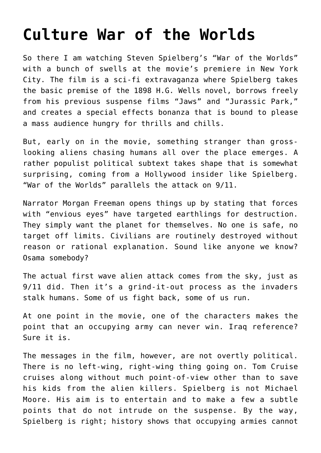## **[Culture War of the Worlds](https://bernardgoldberg.com/culture-war-of-the-worlds-2/)**

So there I am watching Steven Spielberg's "War of the Worlds" with a bunch of swells at the movie's premiere in New York City. The film is a sci-fi extravaganza where Spielberg takes the basic premise of the 1898 H.G. Wells novel, borrows freely from his previous suspense films "Jaws" and "Jurassic Park," and creates a special effects bonanza that is bound to please a mass audience hungry for thrills and chills.

But, early on in the movie, something stranger than grosslooking aliens chasing humans all over the place emerges. A rather populist political subtext takes shape that is somewhat surprising, coming from a Hollywood insider like Spielberg. "War of the Worlds" parallels the attack on 9/11.

Narrator Morgan Freeman opens things up by stating that forces with "envious eyes" have targeted earthlings for destruction. They simply want the planet for themselves. No one is safe, no target off limits. Civilians are routinely destroyed without reason or rational explanation. Sound like anyone we know? Osama somebody?

The actual first wave alien attack comes from the sky, just as 9/11 did. Then it's a grind-it-out process as the invaders stalk humans. Some of us fight back, some of us run.

At one point in the movie, one of the characters makes the point that an occupying army can never win. Iraq reference? Sure it is.

The messages in the film, however, are not overtly political. There is no left-wing, right-wing thing going on. Tom Cruise cruises along without much point-of-view other than to save his kids from the alien killers. Spielberg is not Michael Moore. His aim is to entertain and to make a few a subtle points that do not intrude on the suspense. By the way, Spielberg is right; history shows that occupying armies cannot